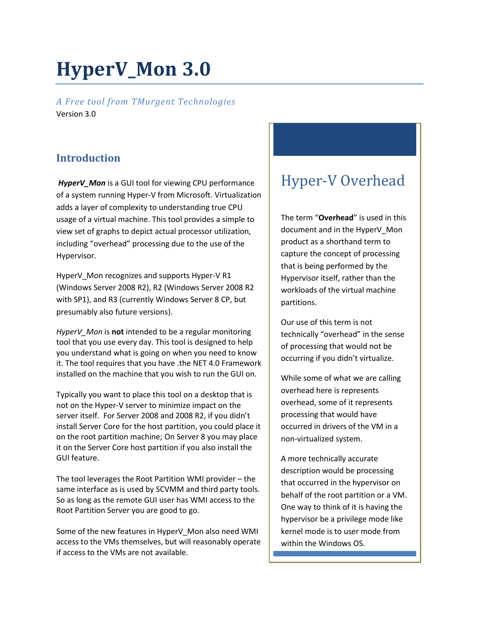# **HyperV\_Mon 3.0**

*A Free tool from TMurgent Technologies* Version 3.0

# **Introduction**

*HyperV\_Mon* is a GUI tool for viewing CPU performance of a system running Hyper-V from Microsoft. Virtualization adds a layer of complexity to understanding true CPU usage of a virtual machine. This tool provides a simple to view set of graphs to depict actual processor utilization, including "overhead" processing due to the use of the Hypervisor.

HyperV\_Mon recognizes and supports Hyper-V R1 (Windows Server 2008 R2), R2 (Windows Server 2008 R2 with SP1), and R3 (currently Windows Server 8 CP, but presumably also future versions).

*HyperV\_Mon* is **not** intended to be a regular monitoring tool that you use every day. This tool is designed to help you understand what is going on when you need to know it. The tool requires that you have .the NET 4.0 Framework installed on the machine that you wish to run the GUI on.

Typically you want to place this tool on a desktop that is not on the Hyper-V server to minimize impact on the server itself. For Server 2008 and 2008 R2, if you didn't install Server Core for the host partition, you could place it on the root partition machine; On Server 8 you may place it on the Server Core host partition if you also install the GUI feature.

The tool leverages the Root Partition WMI provider – the same interface as is used by SCVMM and third party tools. So as long as the remote GUI user has WMI access to the Root Partition Server you are good to go.

Some of the new features in HyperV\_Mon also need WMI access to the VMs themselves, but will reasonably operate if access to the VMs are not available.

# Hyper-V Overhead

The term "**Overhead**" is used in this document and in the HyperV\_Mon product as a shorthand term to capture the concept of processing that is being performed by the Hypervisor itself, rather than the workloads of the virtual machine partitions.

Our use of this term is not technically "overhead" in the sense of processing that would not be occurring if you didn't virtualize.

While some of what we are calling overhead here is represents overhead, some of it represents processing that would have occurred in drivers of the VM in a non-virtualized system.

A more technically accurate description would be processing that occurred in the hypervisor on behalf of the root partition or a VM. One way to think of it is having the hypervisor be a privilege mode like kernel mode is to user mode from within the Windows OS.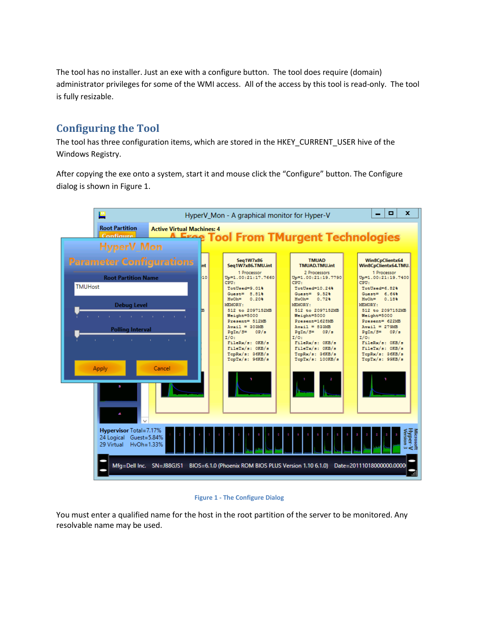The tool has no installer. Just an exe with a configure button. The tool does require (domain) administrator privileges for some of the WMI access. All of the access by this tool is read-only. The tool is fully resizable.

# **Configuring the Tool**

The tool has three configuration items, which are stored in the HKEY\_CURRENT\_USER hive of the Windows Registry.

After copying the exe onto a system, start it and mouse click the "Configure" button. The Configure dialog is shown in Figure 1.



#### **Figure 1 - The Configure Dialog**

You must enter a qualified name for the host in the root partition of the server to be monitored. Any resolvable name may be used.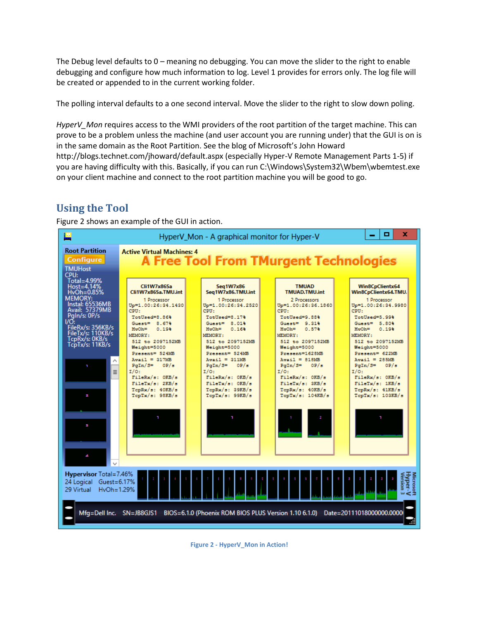The Debug level defaults to 0 – meaning no debugging. You can move the slider to the right to enable debugging and configure how much information to log. Level 1 provides for errors only. The log file will be created or appended to in the current working folder.

The polling interval defaults to a one second interval. Move the slider to the right to slow down poling.

*HyperV\_Mon* requires access to the WMI providers of the root partition of the target machine. This can prove to be a problem unless the machine (and user account you are running under) that the GUI is on is in the same domain as the Root Partition. See the blog of Microsoft's John Howard http://blogs.technet.com/jhoward/default.aspx (especially Hyper-V Remote Management Parts 1-5) if you are having difficulty with this. Basically, if you can run C:\Windows\System32\Wbem\wbemtest.exe on your client machine and connect to the root partition machine you will be good to go.

# **Using the Tool**

Figure 2 shows an example of the GUI in action.



**Figure 2 - HyperV\_Mon in Action!**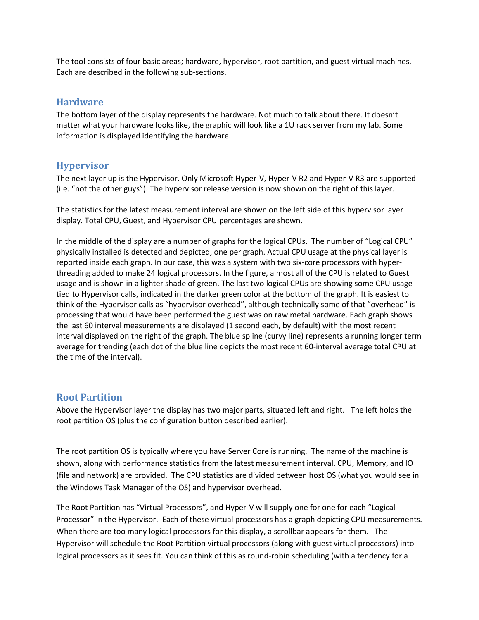The tool consists of four basic areas; hardware, hypervisor, root partition, and guest virtual machines. Each are described in the following sub-sections.

#### **Hardware**

The bottom layer of the display represents the hardware. Not much to talk about there. It doesn't matter what your hardware looks like, the graphic will look like a 1U rack server from my lab. Some information is displayed identifying the hardware.

#### **Hypervisor**

The next layer up is the Hypervisor. Only Microsoft Hyper-V, Hyper-V R2 and Hyper-V R3 are supported (i.e. "not the other guys"). The hypervisor release version is now shown on the right of this layer.

The statistics for the latest measurement interval are shown on the left side of this hypervisor layer display. Total CPU, Guest, and Hypervisor CPU percentages are shown.

In the middle of the display are a number of graphs for the logical CPUs. The number of "Logical CPU" physically installed is detected and depicted, one per graph. Actual CPU usage at the physical layer is reported inside each graph. In our case, this was a system with two six-core processors with hyperthreading added to make 24 logical processors. In the figure, almost all of the CPU is related to Guest usage and is shown in a lighter shade of green. The last two logical CPUs are showing some CPU usage tied to Hypervisor calls, indicated in the darker green color at the bottom of the graph. It is easiest to think of the Hypervisor calls as "hypervisor overhead", although technically some of that "overhead" is processing that would have been performed the guest was on raw metal hardware. Each graph shows the last 60 interval measurements are displayed (1 second each, by default) with the most recent interval displayed on the right of the graph. The blue spline (curvy line) represents a running longer term average for trending (each dot of the blue line depicts the most recent 60-interval average total CPU at the time of the interval).

#### **Root Partition**

Above the Hypervisor layer the display has two major parts, situated left and right. The left holds the root partition OS (plus the configuration button described earlier).

The root partition OS is typically where you have Server Core is running. The name of the machine is shown, along with performance statistics from the latest measurement interval. CPU, Memory, and IO (file and network) are provided. The CPU statistics are divided between host OS (what you would see in the Windows Task Manager of the OS) and hypervisor overhead.

The Root Partition has "Virtual Processors", and Hyper-V will supply one for one for each "Logical Processor" in the Hypervisor. Each of these virtual processors has a graph depicting CPU measurements. When there are too many logical processors for this display, a scrollbar appears for them. The Hypervisor will schedule the Root Partition virtual processors (along with guest virtual processors) into logical processors as it sees fit. You can think of this as round-robin scheduling (with a tendency for a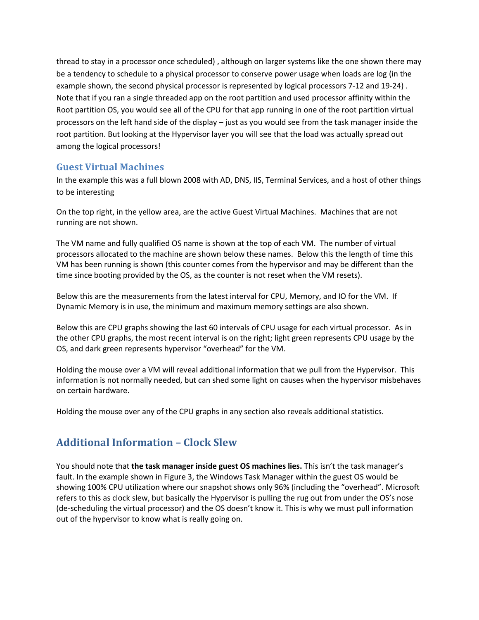thread to stay in a processor once scheduled) , although on larger systems like the one shown there may be a tendency to schedule to a physical processor to conserve power usage when loads are log (in the example shown, the second physical processor is represented by logical processors 7-12 and 19-24) . Note that if you ran a single threaded app on the root partition and used processor affinity within the Root partition OS, you would see all of the CPU for that app running in one of the root partition virtual processors on the left hand side of the display – just as you would see from the task manager inside the root partition. But looking at the Hypervisor layer you will see that the load was actually spread out among the logical processors!

#### **Guest Virtual Machines**

In the example this was a full blown 2008 with AD, DNS, IIS, Terminal Services, and a host of other things to be interesting

On the top right, in the yellow area, are the active Guest Virtual Machines. Machines that are not running are not shown.

The VM name and fully qualified OS name is shown at the top of each VM. The number of virtual processors allocated to the machine are shown below these names. Below this the length of time this VM has been running is shown (this counter comes from the hypervisor and may be different than the time since booting provided by the OS, as the counter is not reset when the VM resets).

Below this are the measurements from the latest interval for CPU, Memory, and IO for the VM. If Dynamic Memory is in use, the minimum and maximum memory settings are also shown.

Below this are CPU graphs showing the last 60 intervals of CPU usage for each virtual processor. As in the other CPU graphs, the most recent interval is on the right; light green represents CPU usage by the OS, and dark green represents hypervisor "overhead" for the VM.

Holding the mouse over a VM will reveal additional information that we pull from the Hypervisor. This information is not normally needed, but can shed some light on causes when the hypervisor misbehaves on certain hardware.

Holding the mouse over any of the CPU graphs in any section also reveals additional statistics.

# **Additional Information – Clock Slew**

You should note that **the task manager inside guest OS machines lies.** This isn't the task manager's fault. In the example shown in Figure 3, the Windows Task Manager within the guest OS would be showing 100% CPU utilization where our snapshot shows only 96% (including the "overhead". Microsoft refers to this as clock slew, but basically the Hypervisor is pulling the rug out from under the OS's nose (de-scheduling the virtual processor) and the OS doesn't know it. This is why we must pull information out of the hypervisor to know what is really going on.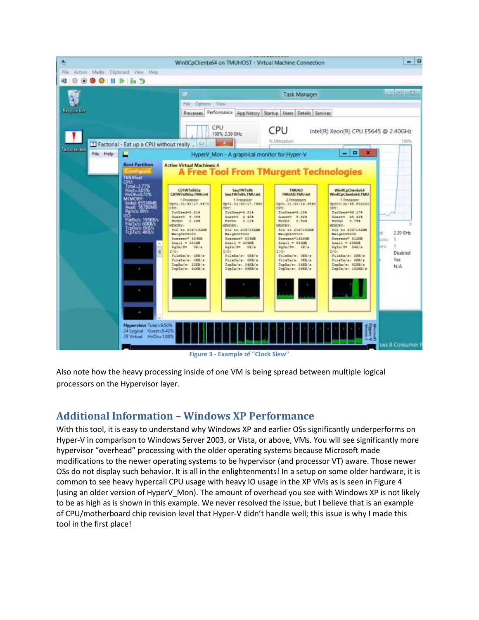

**Figure 3 - Example of "Clock Slew"**

Also note how the heavy processing inside of one VM is being spread between multiple logical processors on the Hypervisor layer.

# **Additional Information – Windows XP Performance**

With this tool, it is easy to understand why Windows XP and earlier OSs significantly underperforms on Hyper-V in comparison to Windows Server 2003, or Vista, or above, VMs. You will see significantly more hypervisor "overhead" processing with the older operating systems because Microsoft made modifications to the newer operating systems to be hypervisor (and processor VT) aware. Those newer OSs do not display such behavior. It is all in the enlightenments! In a setup on some older hardware, it is common to see heavy hypercall CPU usage with heavy IO usage in the XP VMs as is seen in Figure 4 (using an older version of HyperV\_Mon). The amount of overhead you see with Windows XP is not likely to be as high as is shown in this example. We never resolved the issue, but I believe that is an example of CPU/motherboard chip revision level that Hyper-V didn't handle well; this issue is why I made this tool in the first place!